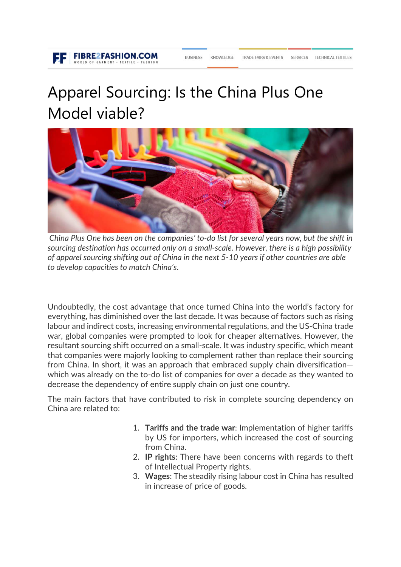# Apparel Sourcing: Is the China Plus One Model viable?

**BUSINESS** 

**FIBRE2FASHION.COM** 



*[C](http://www.fibre2fashion.com/members/login.aspx?myurl=http://www.fibre2fashion.com/industry-article/9380/apparel-sourcing-is-the-china-plus-one-model-viable-)hina Plus One has been on the companies' to-do list for several years now, but the shift in sourcing destination has occurred only on a small-scale. However, there is a high possibility of apparel sourcing shifting out of China in the next 5-10 years if other countries are able to develop capacities to match China's*.

Undoubtedly, the cost advantage that once turned China into the world's factory for everything, has diminished over the last decade. It was because of factors such as rising labour and indirect costs, increasing environmental regulations, and the US-China trade war, global companies were prompted to look for cheaper alternatives. However, the resultant sourcing shift occurred on a small-scale. It was industry specific, which meant that companies were majorly looking to complement rather than replace their sourcing from China. In short, it was an approach that embraced supply chain diversification which was already on the to-do list of companies for over a decade as they wanted to decrease the dependency of entire supply chain on just one country.

The main factors that have contributed to risk in complete sourcing dependency on China are related to:

- 1. **Tariffs and the trade war**: Implementation of higher tariffs by US for importers, which increased the cost of sourcing from China.
- 2. **IP rights**: There have been concerns with regards to theft of Intellectual Property rights.
- 3. **Wages**: The steadily rising labour cost in China has resulted in increase of price of goods.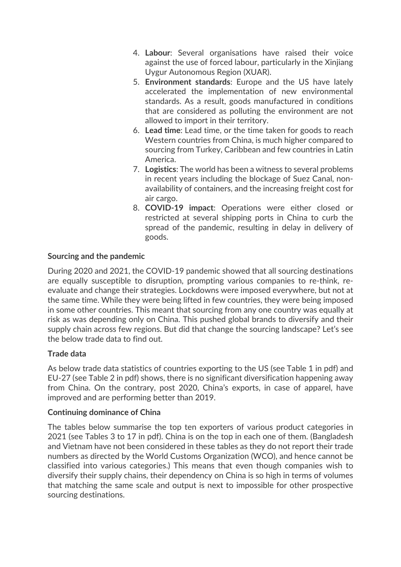- 4. **Labour**: Several organisations have raised their voice against the use of forced labour, particularly in the Xinjiang Uygur Autonomous Region (XUAR).
- 5. **Environment standards**: Europe and the US have lately accelerated the implementation of new environmental standards. As a result, goods manufactured in conditions that are considered as polluting the environment are not allowed to import in their territory.
- 6. **Lead time**: Lead time, or the time taken for goods to reach Western countries from China, is much higher compared to sourcing from Turkey, Caribbean and few countries in Latin America.
- 7. **Logistics**: The world has been a witness to several problems in recent years including the blockage of Suez Canal, nonavailability of containers, and the increasing freight cost for air cargo.
- 8. **COVID-19 impact**: Operations were either closed or restricted at several shipping ports in China to curb the spread of the pandemic, resulting in delay in delivery of goods.

## **Sourcing and the pandemic**

During 2020 and 2021, the COVID-19 pandemic showed that all sourcing destinations are equally susceptible to disruption, prompting various companies to re-think, reevaluate and change their strategies. Lockdowns were imposed everywhere, but not at the same time. While they were being lifted in few countries, they were being imposed in some other countries. This meant that sourcing from any one country was equally at risk as was depending only on China. This pushed global brands to diversify and their supply chain across few regions. But did that change the sourcing landscape? Let's see the below trade data to find out.

## **Trade data**

As below trade data statistics of countries exporting to the US (see Table 1 in pdf) and EU-27 (see Table 2 in pdf) shows, there is no significant diversification happening away from China. On the contrary, post 2020, China's exports, in case of apparel, have improved and are performing better than 2019.

## **Continuing dominance of China**

The tables below summarise the top ten exporters of various product categories in 2021 (see Tables 3 to 17 in pdf). China is on the top in each one of them. (Bangladesh and Vietnam have not been considered in these tables as they do not report their trade numbers as directed by the World Customs Organization (WCO), and hence cannot be classified into various categories.) This means that even though companies wish to diversify their supply chains, their dependency on China is so high in terms of volumes that matching the same scale and output is next to impossible for other prospective sourcing destinations.